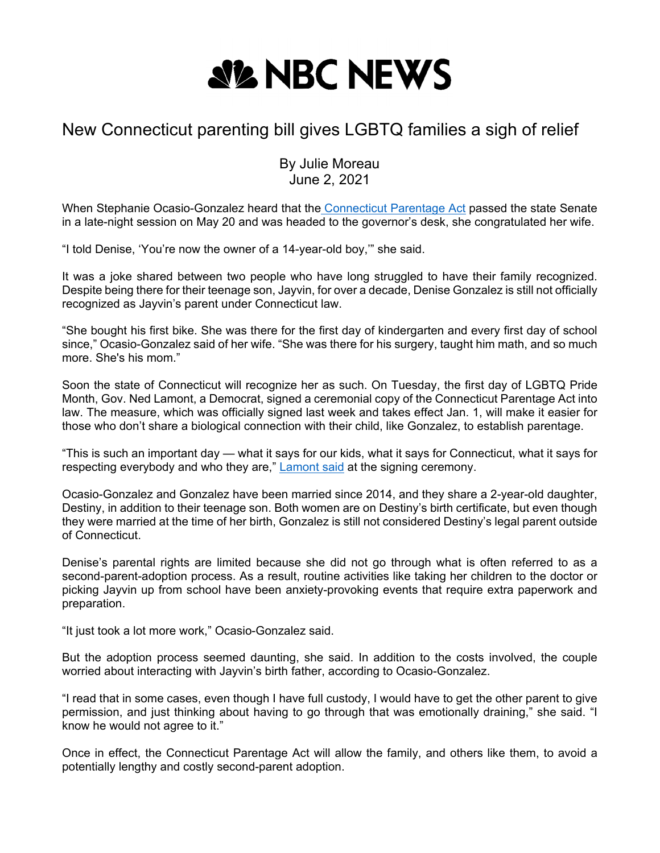## **AIZ NBC NEWS**

## New Connecticut parenting bill gives LGBTQ families a sigh of relief

By Julie Moreau June 2, 2021

When Stephanie Ocasio-Gonzalez heard that the Connecticut Parentage Act passed the state Senate in a late-night session on May 20 and was headed to the governor's desk, she congratulated her wife.

"I told Denise, 'You're now the owner of a 14-year-old boy,'" she said.

It was a joke shared between two people who have long struggled to have their family recognized. Despite being there for their teenage son, Jayvin, for over a decade, Denise Gonzalez is still not officially recognized as Jayvin's parent under Connecticut law.

"She bought his first bike. She was there for the first day of kindergarten and every first day of school since," Ocasio-Gonzalez said of her wife. "She was there for his surgery, taught him math, and so much more. She's his mom."

Soon the state of Connecticut will recognize her as such. On Tuesday, the first day of LGBTQ Pride Month, Gov. Ned Lamont, a Democrat, signed a ceremonial copy of the Connecticut Parentage Act into law. The measure, which was officially signed last week and takes effect Jan. 1, will make it easier for those who don't share a biological connection with their child, like Gonzalez, to establish parentage.

"This is such an important day — what it says for our kids, what it says for Connecticut, what it says for respecting everybody and who they are," Lamont said at the signing ceremony.

Ocasio-Gonzalez and Gonzalez have been married since 2014, and they share a 2-year-old daughter, Destiny, in addition to their teenage son. Both women are on Destiny's birth certificate, but even though they were married at the time of her birth, Gonzalez is still not considered Destiny's legal parent outside of Connecticut.

Denise's parental rights are limited because she did not go through what is often referred to as a second-parent-adoption process. As a result, routine activities like taking her children to the doctor or picking Jayvin up from school have been anxiety-provoking events that require extra paperwork and preparation.

"It just took a lot more work," Ocasio-Gonzalez said.

But the adoption process seemed daunting, she said. In addition to the costs involved, the couple worried about interacting with Jayvin's birth father, according to Ocasio-Gonzalez.

"I read that in some cases, even though I have full custody, I would have to get the other parent to give permission, and just thinking about having to go through that was emotionally draining," she said. "I know he would not agree to it."

Once in effect, the Connecticut Parentage Act will allow the family, and others like them, to avoid a potentially lengthy and costly second-parent adoption.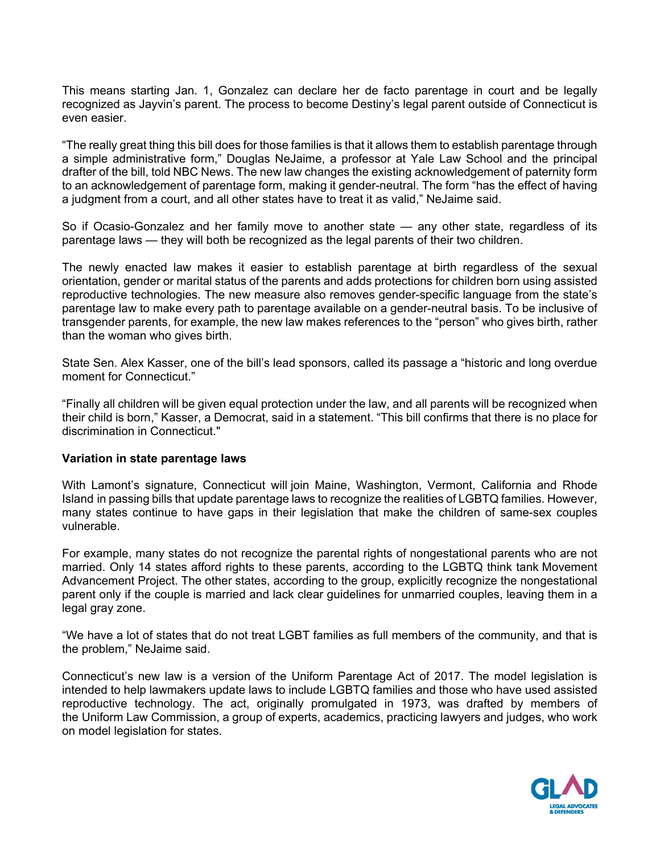This means starting Jan. 1, Gonzalez can declare her de facto parentage in court and be legally recognized as Jayvin's parent. The process to become Destiny's legal parent outside of Connecticut is even easier.

"The really great thing this bill does for those families is that it allows them to establish parentage through a simple administrative form," Douglas NeJaime, a professor at Yale Law School and the principal drafter of the bill, told NBC News. The new law changes the existing acknowledgement of paternity form to an acknowledgement of parentage form, making it gender-neutral. The form "has the effect of having a judgment from a court, and all other states have to treat it as valid," NeJaime said.

So if Ocasio-Gonzalez and her family move to another state — any other state, regardless of its parentage laws — they will both be recognized as the legal parents of their two children.

The newly enacted law makes it easier to establish parentage at birth regardless of the sexual orientation, gender or marital status of the parents and adds protections for children born using assisted reproductive technologies. The new measure also removes gender-specific language from the state's parentage law to make every path to parentage available on a gender-neutral basis. To be inclusive of transgender parents, for example, the new law makes references to the "person" who gives birth, rather than the woman who gives birth.

State Sen. Alex Kasser, one of the bill's lead sponsors, called its passage a "historic and long overdue moment for Connecticut."

"Finally all children will be given equal protection under the law, and all parents will be recognized when their child is born," Kasser, a Democrat, said in a statement. "This bill confirms that there is no place for discrimination in Connecticut."

## **Variation in state parentage laws**

With Lamont's signature, Connecticut will join Maine, Washington, Vermont, California and Rhode Island in passing bills that update parentage laws to recognize the realities of LGBTQ families. However, many states continue to have gaps in their legislation that make the children of same-sex couples vulnerable.

For example, many states do not recognize the parental rights of nongestational parents who are not married. Only 14 states afford rights to these parents, according to the LGBTQ think tank Movement Advancement Project. The other states, according to the group, explicitly recognize the nongestational parent only if the couple is married and lack clear guidelines for unmarried couples, leaving them in a legal gray zone.

"We have a lot of states that do not treat LGBT families as full members of the community, and that is the problem," NeJaime said.

Connecticut's new law is a version of the Uniform Parentage Act of 2017. The model legislation is intended to help lawmakers update laws to include LGBTQ families and those who have used assisted reproductive technology. The act, originally promulgated in 1973, was drafted by members of the Uniform Law Commission, a group of experts, academics, practicing lawyers and judges, who work on model legislation for states.